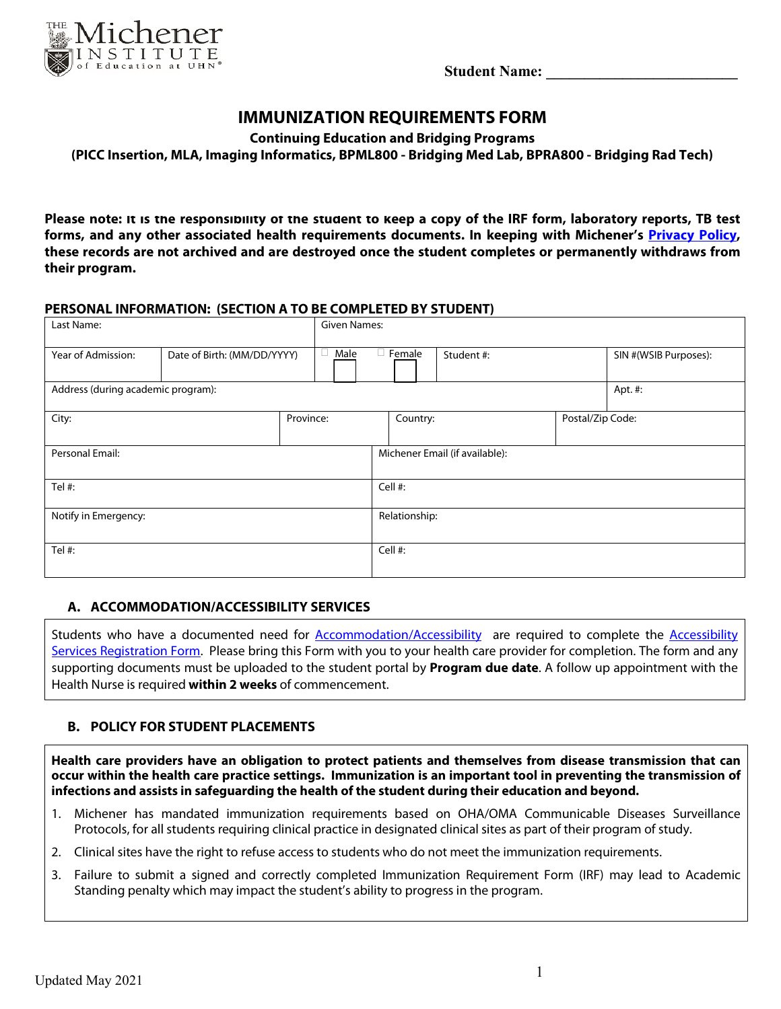**Student Name:** 



# **IMMUNIZATION REQUIREMENTS FORM**

**Continuing Education and Bridging Programs**

**(PICC Insertion, MLA, Imaging Informatics, BPML800 - Bridging Med Lab, BPRA800 - Bridging Rad Tech)**

**Please note: It is the responsibility of the student to keep a copy of the IRF form, laboratory reports, TB test forms, and any other associated health requirements documents. In keeping with Michener's Privacy Policy, these records are not archived and are destroyed once the student completes or permanently withdraws from their program.**

#### **PERSONAL INFORMATION: (SECTION A TO BE COMPLETED BY STUDENT)**

| Last Name:                         |                             |           | Given Names: |               |                                |                  |                       |
|------------------------------------|-----------------------------|-----------|--------------|---------------|--------------------------------|------------------|-----------------------|
| Year of Admission:                 | Date of Birth: (MM/DD/YYYY) |           | Male         | $\Box$ Female | Student #:                     |                  | SIN #(WSIB Purposes): |
| Address (during academic program): |                             |           |              |               |                                |                  | Apt. #:               |
| City:                              |                             | Province: |              | Country:      |                                | Postal/Zip Code: |                       |
| Personal Email:                    |                             |           |              |               | Michener Email (if available): |                  |                       |
| Tel #:                             |                             |           |              | Cell #:       |                                |                  |                       |
| Notify in Emergency:               |                             |           |              | Relationship: |                                |                  |                       |
| Tel #:                             |                             |           |              | Cell #:       |                                |                  |                       |

#### **A. ACCOMMODATION/ACCESSIBILITY SERVICES**

Students who have a documented need for Accommodation/Accessibility are required to complete the Accessibility Services Registration Form. Please bring this Form with you to your health care provider for completion. The form and any supporting documents must be uploaded to the student portal by **Program due date**. A follow up appointment with the Health Nurse is required **within 2 weeks** of commencement.

## **B. POLICY FOR STUDENT PLACEMENTS**

**Health care providers have an obligation to protect patients and themselves from disease transmission that can occur within the health care practice settings. Immunization is an important tool in preventing the transmission of infections and assists in safeguarding the health of the student during their education and beyond.**

- 1. Michener has mandated immunization requirements based on OHA/OMA Communicable Diseases Surveillance Protocols, for all students requiring clinical practice in designated clinical sites as part of their program of study.
- 2. Clinical sites have the right to refuse access to students who do not meet the immunization requirements.
- 3. Failure to submit a signed and correctly completed Immunization Requirement Form (IRF) may lead to Academic Standing penalty which may impact the student's ability to progress in the program.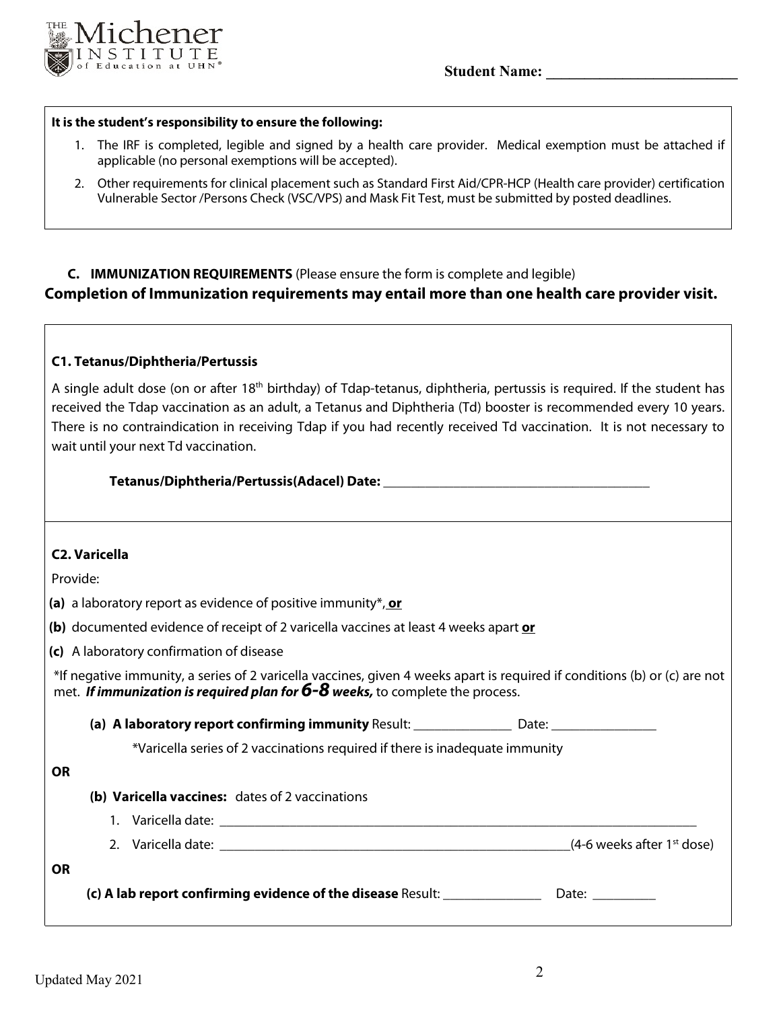

**Student Name:**  $\blacksquare$ 

#### **It is the student's responsibility to ensure the following:**

- 1. The IRF is completed, legible and signed by a health care provider. Medical exemption must be attached if applicable (no personal exemptions will be accepted).
- 2. Other requirements for clinical placement such as Standard First Aid/CPR-HCP (Health care provider) certification Vulnerable Sector /Persons Check (VSC/VPS) and Mask Fit Test, must be submitted by posted deadlines.

# **C. IMMUNIZATION REQUIREMENTS** (Please ensure the form is complete and legible) **Completion of Immunization requirements may entail more than one health care provider visit.**

#### **C1. Tetanus/Diphtheria/Pertussis**

A single adult dose (on or after 18<sup>th</sup> birthday) of Tdap-tetanus, diphtheria, pertussis is required. If the student has received the Tdap vaccination as an adult, a Tetanus and Diphtheria (Td) booster is recommended every 10 years. There is no contraindication in receiving Tdap if you had recently received Td vaccination. It is not necessary to wait until your next Td vaccination.

#### **Tetanus/Diphtheria/Pertussis(Adacel) Date:** \_\_\_\_\_\_\_\_\_\_\_\_\_\_\_\_\_\_\_\_\_\_\_\_\_\_\_\_\_\_\_\_\_\_\_\_\_\_

## **C2. Varicella**

Provide:

**(a)** a laboratory report as evidence of positive immunity\*, **or**

**(b)** documented evidence of receipt of 2 varicella vaccines at least 4 weeks apart **or**

**(c)** A laboratory confirmation of disease

\*If negative immunity, a series of 2 varicella vaccines, given 4 weeks apart is required if conditions (b) or (c) are not met. *If immunization is required plan for 6-8 weeks,* to complete the process.

**(a) A laboratory report confirming immunity** Result: \_\_\_\_\_\_\_\_\_\_\_\_\_\_ Date: \_\_\_\_\_\_\_\_\_\_\_\_\_\_\_

\*Varicella series of 2 vaccinations required if there is inadequate immunity

## **OR**

**OR** 

- **(b) Varicella vaccines:** dates of 2 vaccinations
	- 1. Varicella date: 2. Varicella date:  $(4-6$  weeks after 1st dose)

| $(c)$ A lab report confirming evidence of the disease Result: |  |  | Date: |
|---------------------------------------------------------------|--|--|-------|
|---------------------------------------------------------------|--|--|-------|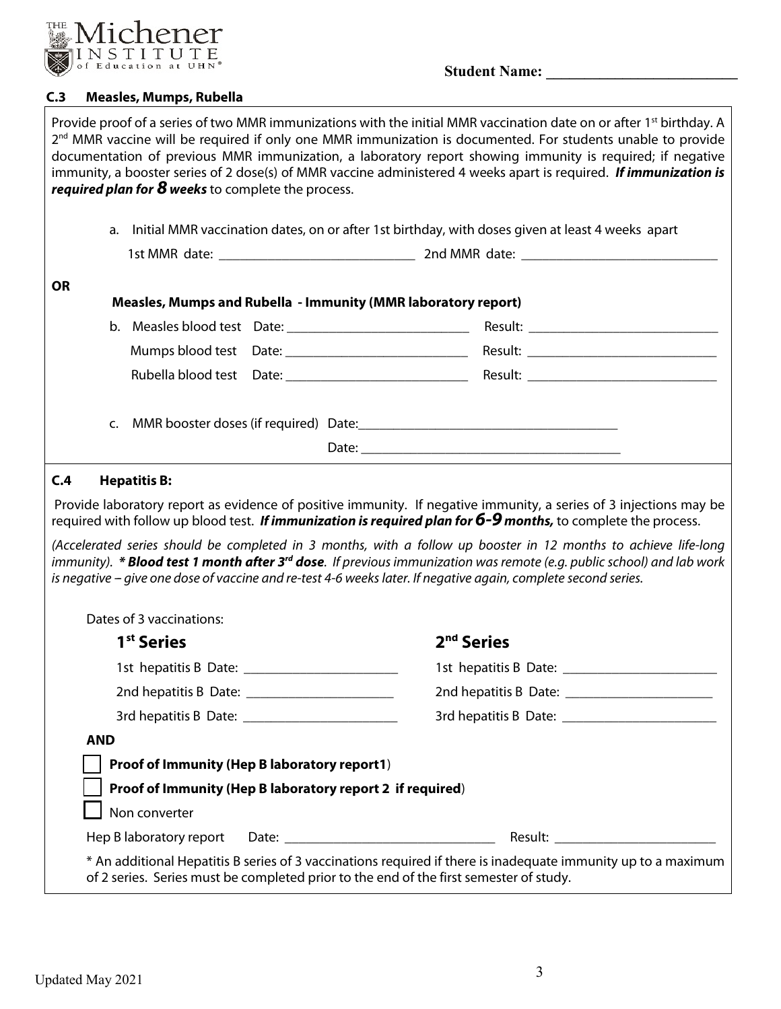

## **C.3 Measles, Mumps, Rubella**

|            | required plan for 8 weeks to complete the process. |                                                                                                           | Provide proof of a series of two MMR immunizations with the initial MMR vaccination date on or after 1 <sup>st</sup> birthday. A<br>2 <sup>nd</sup> MMR vaccine will be required if only one MMR immunization is documented. For students unable to provide<br>documentation of previous MMR immunization, a laboratory report showing immunity is required; if negative<br>immunity, a booster series of 2 dose(s) of MMR vaccine administered 4 weeks apart is required. If immunization is                                                                                                                       |
|------------|----------------------------------------------------|-----------------------------------------------------------------------------------------------------------|---------------------------------------------------------------------------------------------------------------------------------------------------------------------------------------------------------------------------------------------------------------------------------------------------------------------------------------------------------------------------------------------------------------------------------------------------------------------------------------------------------------------------------------------------------------------------------------------------------------------|
|            |                                                    |                                                                                                           | a. Initial MMR vaccination dates, on or after 1st birthday, with doses given at least 4 weeks apart                                                                                                                                                                                                                                                                                                                                                                                                                                                                                                                 |
|            |                                                    |                                                                                                           |                                                                                                                                                                                                                                                                                                                                                                                                                                                                                                                                                                                                                     |
| <b>OR</b>  |                                                    | Measles, Mumps and Rubella - Immunity (MMR laboratory report)                                             |                                                                                                                                                                                                                                                                                                                                                                                                                                                                                                                                                                                                                     |
|            |                                                    |                                                                                                           |                                                                                                                                                                                                                                                                                                                                                                                                                                                                                                                                                                                                                     |
|            |                                                    |                                                                                                           |                                                                                                                                                                                                                                                                                                                                                                                                                                                                                                                                                                                                                     |
|            |                                                    |                                                                                                           |                                                                                                                                                                                                                                                                                                                                                                                                                                                                                                                                                                                                                     |
|            |                                                    |                                                                                                           |                                                                                                                                                                                                                                                                                                                                                                                                                                                                                                                                                                                                                     |
| C.4        | <b>Hepatitis B:</b>                                |                                                                                                           |                                                                                                                                                                                                                                                                                                                                                                                                                                                                                                                                                                                                                     |
|            |                                                    |                                                                                                           | Provide laboratory report as evidence of positive immunity. If negative immunity, a series of 3 injections may be<br>required with follow up blood test. If immunization is required plan for 6-9 months, to complete the process.<br>(Accelerated series should be completed in 3 months, with a follow up booster in 12 months to achieve life-long<br>immunity). * <b>Blood test 1 month after 3<sup>rd</sup> dose</b> . If previous immunization was remote (e.g. public school) and lab work<br>is negative - give one dose of vaccine and re-test 4-6 weeks later. If negative again, complete second series. |
|            | Dates of 3 vaccinations:                           |                                                                                                           |                                                                                                                                                                                                                                                                                                                                                                                                                                                                                                                                                                                                                     |
|            | 1 <sup>st</sup> Series                             |                                                                                                           | 2 <sup>nd</sup> Series                                                                                                                                                                                                                                                                                                                                                                                                                                                                                                                                                                                              |
|            |                                                    |                                                                                                           |                                                                                                                                                                                                                                                                                                                                                                                                                                                                                                                                                                                                                     |
|            |                                                    |                                                                                                           |                                                                                                                                                                                                                                                                                                                                                                                                                                                                                                                                                                                                                     |
|            |                                                    |                                                                                                           |                                                                                                                                                                                                                                                                                                                                                                                                                                                                                                                                                                                                                     |
| <b>AND</b> | Non converter                                      | Proof of Immunity (Hep B laboratory report1)<br>Proof of Immunity (Hep B laboratory report 2 if required) |                                                                                                                                                                                                                                                                                                                                                                                                                                                                                                                                                                                                                     |
|            |                                                    | of 2 series. Series must be completed prior to the end of the first semester of study.                    | * An additional Hepatitis B series of 3 vaccinations required if there is inadequate immunity up to a maximum                                                                                                                                                                                                                                                                                                                                                                                                                                                                                                       |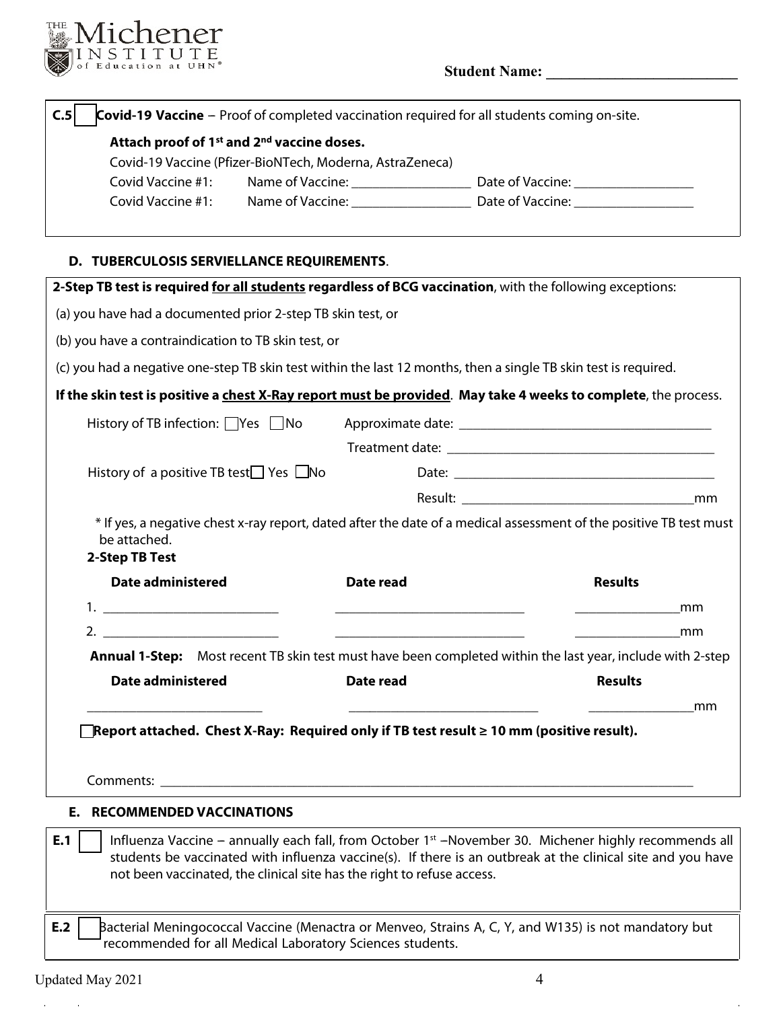

# **Student Name: \_\_\_\_\_\_\_\_\_\_\_\_\_\_\_\_\_\_\_\_\_\_\_\_\_**

| C.5<br><b>Covid-19 Vaccine</b> – Proof of completed vaccination required for all students coming on-site.       |           |                                                                                                                                                                                                                                  |
|-----------------------------------------------------------------------------------------------------------------|-----------|----------------------------------------------------------------------------------------------------------------------------------------------------------------------------------------------------------------------------------|
| Attach proof of 1 <sup>st</sup> and 2 <sup>nd</sup> vaccine doses.                                              |           |                                                                                                                                                                                                                                  |
| Covid-19 Vaccine (Pfizer-BioNTech, Moderna, AstraZeneca)                                                        |           |                                                                                                                                                                                                                                  |
| Covid Vaccine #1:                                                                                               |           |                                                                                                                                                                                                                                  |
| Covid Vaccine #1:                                                                                               |           |                                                                                                                                                                                                                                  |
| D. TUBERCULOSIS SERVIELLANCE REQUIREMENTS.                                                                      |           |                                                                                                                                                                                                                                  |
| 2-Step TB test is required for all students regardless of BCG vaccination, with the following exceptions:       |           |                                                                                                                                                                                                                                  |
| (a) you have had a documented prior 2-step TB skin test, or                                                     |           |                                                                                                                                                                                                                                  |
| (b) you have a contraindication to TB skin test, or                                                             |           |                                                                                                                                                                                                                                  |
| (c) you had a negative one-step TB skin test within the last 12 months, then a single TB skin test is required. |           |                                                                                                                                                                                                                                  |
| If the skin test is positive a chest X-Ray report must be provided. May take 4 weeks to complete, the process.  |           |                                                                                                                                                                                                                                  |
| History of TB infection: $\Box$ Yes $\Box$ No                                                                   |           |                                                                                                                                                                                                                                  |
|                                                                                                                 |           |                                                                                                                                                                                                                                  |
| History of a positive TB test $\Box$ Yes $\Box$ No                                                              |           |                                                                                                                                                                                                                                  |
|                                                                                                                 |           |                                                                                                                                                                                                                                  |
| be attached.<br>2-Step TB Test                                                                                  |           | * If yes, a negative chest x-ray report, dated after the date of a medical assessment of the positive TB test must                                                                                                               |
| <b>Date administered</b>                                                                                        | Date read | <b>Results</b>                                                                                                                                                                                                                   |
|                                                                                                                 |           | mm                                                                                                                                                                                                                               |
|                                                                                                                 |           | mm                                                                                                                                                                                                                               |
|                                                                                                                 |           | <b>Annual 1-Step:</b> Most recent TB skin test must have been completed within the last year, include with 2-step                                                                                                                |
| <b>Date administered</b>                                                                                        | Date read | <b>Results</b>                                                                                                                                                                                                                   |
|                                                                                                                 |           | mm                                                                                                                                                                                                                               |
| $\blacksquare$ Report attached.  Chest X-Ray:  Required only if TB test result $\geq$ 10 mm (positive result).  |           |                                                                                                                                                                                                                                  |
|                                                                                                                 |           |                                                                                                                                                                                                                                  |
| <b>E. RECOMMENDED VACCINATIONS</b>                                                                              |           |                                                                                                                                                                                                                                  |
| E.1<br>not been vaccinated, the clinical site has the right to refuse access.                                   |           | Influenza Vaccine – annually each fall, from October 1 <sup>st</sup> –November 30. Michener highly recommends all<br>students be vaccinated with influenza vaccine(s). If there is an outbreak at the clinical site and you have |
| E.2<br>recommended for all Medical Laboratory Sciences students.                                                |           | Bacterial Meningococcal Vaccine (Menactra or Menveo, Strains A, C, Y, and W135) is not mandatory but                                                                                                                             |

 $\mathcal{L}_{\text{max}}$  and  $\mathcal{L}_{\text{max}}$ 

 $\bar{a}$